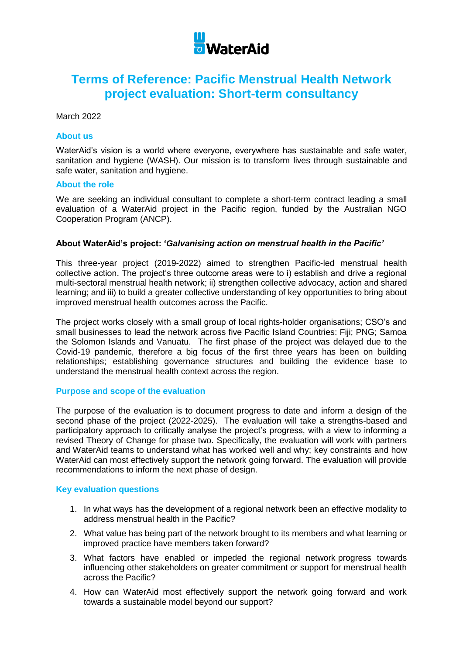

# **Terms of Reference: Pacific Menstrual Health Network project evaluation: Short-term consultancy**

March 2022

# **About us**

WaterAid's vision is a world where everyone, everywhere has sustainable and safe water, sanitation and hygiene (WASH). Our mission is to transform lives through sustainable and safe water, sanitation and hygiene.

# **About the role**

We are seeking an individual consultant to complete a short-term contract leading a small evaluation of a WaterAid project in the Pacific region, funded by the Australian NGO Cooperation Program (ANCP).

# **About WaterAid's project: '***Galvanising action on menstrual health in the Pacific'*

This three-year project (2019-2022) aimed to strengthen Pacific-led menstrual health collective action. The project's three outcome areas were to i) establish and drive a regional multi-sectoral menstrual health network; ii) strengthen collective advocacy, action and shared learning; and iii) to build a greater collective understanding of key opportunities to bring about improved menstrual health outcomes across the Pacific.

The project works closely with a small group of local rights-holder organisations; CSO's and small businesses to lead the network across five Pacific Island Countries: Fiji; PNG; Samoa the Solomon Islands and Vanuatu. The first phase of the project was delayed due to the Covid-19 pandemic, therefore a big focus of the first three years has been on building relationships; establishing governance structures and building the evidence base to understand the menstrual health context across the region.

# **Purpose and scope of the evaluation**

The purpose of the evaluation is to document progress to date and inform a design of the second phase of the project (2022-2025). The evaluation will take a strengths-based and participatory approach to critically analyse the project's progress, with a view to informing a revised Theory of Change for phase two. Specifically, the evaluation will work with partners and WaterAid teams to understand what has worked well and why; key constraints and how WaterAid can most effectively support the network going forward. The evaluation will provide recommendations to inform the next phase of design.

# **Key evaluation questions**

- 1. In what ways has the development of a regional network been an effective modality to address menstrual health in the Pacific?
- 2. What value has being part of the network brought to its members and what learning or improved practice have members taken forward?
- 3. What factors have enabled or impeded the regional network progress towards influencing other stakeholders on greater commitment or support for menstrual health across the Pacific?
- 4. How can WaterAid most effectively support the network going forward and work towards a sustainable model beyond our support?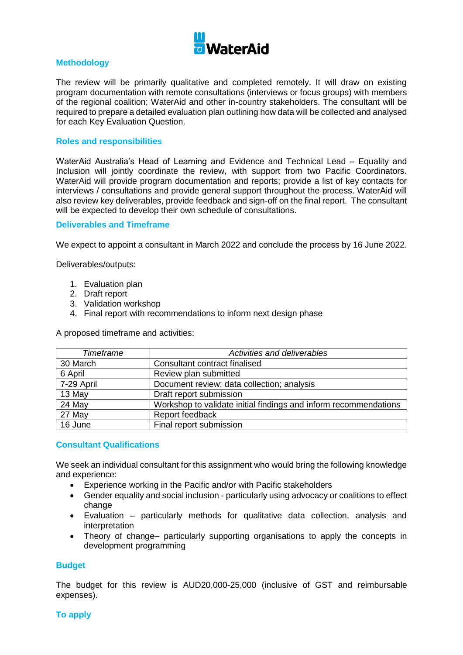

# **Methodology**

The review will be primarily qualitative and completed remotely. It will draw on existing program documentation with remote consultations (interviews or focus groups) with members of the regional coalition; WaterAid and other in-country stakeholders. The consultant will be required to prepare a detailed evaluation plan outlining how data will be collected and analysed for each Key Evaluation Question.

# **Roles and responsibilities**

WaterAid Australia's Head of Learning and Evidence and Technical Lead – Equality and Inclusion will jointly coordinate the review, with support from two Pacific Coordinators. WaterAid will provide program documentation and reports; provide a list of key contacts for interviews / consultations and provide general support throughout the process. WaterAid will also review key deliverables, provide feedback and sign-off on the final report. The consultant will be expected to develop their own schedule of consultations.

# **Deliverables and Timeframe**

We expect to appoint a consultant in March 2022 and conclude the process by 16 June 2022.

Deliverables/outputs:

- 1. Evaluation plan
- 2. Draft report
- 3. Validation workshop
- 4. Final report with recommendations to inform next design phase

A proposed timeframe and activities:

| <b>Timeframe</b> | Activities and deliverables                                      |
|------------------|------------------------------------------------------------------|
| 30 March         | Consultant contract finalised                                    |
| 6 April          | Review plan submitted                                            |
| 7-29 April       | Document review; data collection; analysis                       |
| 13 May           | Draft report submission                                          |
| 24 May           | Workshop to validate initial findings and inform recommendations |
| 27 May           | Report feedback                                                  |
| 16 June          | Final report submission                                          |

# **Consultant Qualifications**

We seek an individual consultant for this assignment who would bring the following knowledge and experience:

- Experience working in the Pacific and/or with Pacific stakeholders
- Gender equality and social inclusion particularly using advocacy or coalitions to effect change
- Evaluation particularly methods for qualitative data collection, analysis and interpretation
- Theory of change– particularly supporting organisations to apply the concepts in development programming

# **Budget**

The budget for this review is AUD20,000-25,000 (inclusive of GST and reimbursable expenses).

# **To apply**